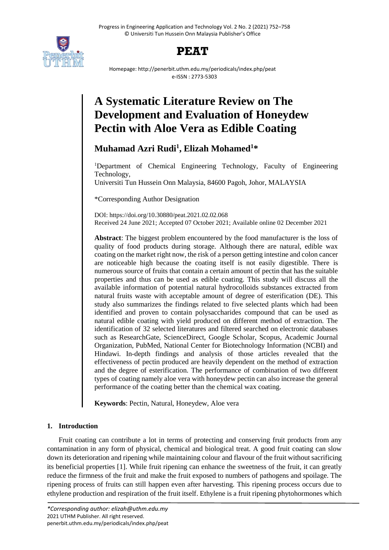

## **PEAT**

Homepage: http://penerbit.uthm.edu.my/periodicals/index.php/peat e-ISSN : 2773-5303

# **A Systematic Literature Review on The Development and Evaluation of Honeydew Pectin with Aloe Vera as Edible Coating**

**Muhamad Azri Rudi<sup>1</sup> , Elizah Mohamed<sup>1</sup>\***

<sup>1</sup>Department of Chemical Engineering Technology, Faculty of Engineering Technology,

Universiti Tun Hussein Onn Malaysia, 84600 Pagoh, Johor, MALAYSIA

\*Corresponding Author Designation

DOI: https://doi.org/10.30880/peat.2021.02.02.068 Received 24 June 2021; Accepted 07 October 2021; Available online 02 December 2021

**Abstract**: The biggest problem encountered by the food manufacturer is the loss of quality of food products during storage. Although there are natural, edible wax coating on the market right now, the risk of a person getting intestine and colon cancer are noticeable high because the coating itself is not easily digestible. There is numerous source of fruits that contain a certain amount of pectin that has the suitable properties and thus can be used as edible coating. This study will discuss all the available information of potential natural hydrocolloids substances extracted from natural fruits waste with acceptable amount of degree of esterification (DE). This study also summarizes the findings related to five selected plants which had been identified and proven to contain polysaccharides compound that can be used as natural edible coating with yield produced on different method of extraction. The identification of 32 selected literatures and filtered searched on electronic databases such as ResearchGate, ScienceDirect, Google Scholar, Scopus, Academic Journal Organization, PubMed, National Center for Biotechnology Information (NCBI) and Hindawi. In-depth findings and analysis of those articles revealed that the effectiveness of pectin produced are heavily dependent on the method of extraction and the degree of esterification. The performance of combination of two different types of coating namely aloe vera with honeydew pectin can also increase the general performance of the coating better than the chemical wax coating.

**Keywords**: Pectin, Natural, Honeydew, Aloe vera

### **1. Introduction**

Fruit coating can contribute a lot in terms of protecting and conserving fruit products from any contamination in any form of physical, chemical and biological treat. A good fruit coating can slow down its deterioration and ripening while maintaining colour and flavour of the fruit without sacrificing its beneficial properties [1]. While fruit ripening can enhance the sweetness of the fruit, it can greatly reduce the firmness of the fruit and make the fruit exposed to numbers of pathogens and spoilage. The ripening process of fruits can still happen even after harvesting. This ripening process occurs due to ethylene production and respiration of the fruit itself. Ethylene is a fruit ripening phytohormones which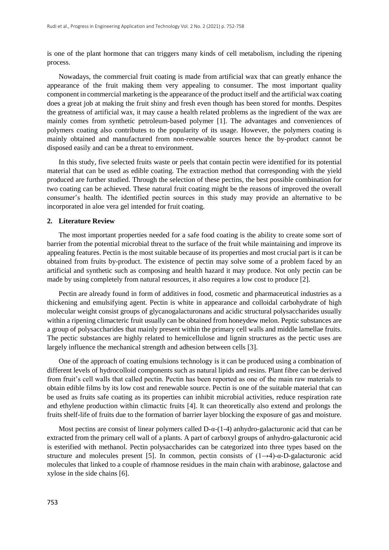is one of the plant hormone that can triggers many kinds of cell metabolism, including the ripening process.

Nowadays, the commercial fruit coating is made from artificial wax that can greatly enhance the appearance of the fruit making them very appealing to consumer. The most important quality component in commercial marketing is the appearance of the product itself and the artificial wax coating does a great job at making the fruit shiny and fresh even though has been stored for months. Despites the greatness of artificial wax, it may cause a health related problems as the ingredient of the wax are mainly comes from synthetic petroleum-based polymer [1]. The advantages and conveniences of polymers coating also contributes to the popularity of its usage. However, the polymers coating is mainly obtained and manufactured from non-renewable sources hence the by-product cannot be disposed easily and can be a threat to environment.

In this study, five selected fruits waste or peels that contain pectin were identified for its potential material that can be used as edible coating. The extraction method that corresponding with the yield produced are further studied. Through the selection of these pectins, the best possible combination for two coating can be achieved. These natural fruit coating might be the reasons of improved the overall consumer's health. The identified pectin sources in this study may provide an alternative to be incorporated in aloe vera gel intended for fruit coating.

#### **2. Literature Review**

The most important properties needed for a safe food coating is the ability to create some sort of barrier from the potential microbial threat to the surface of the fruit while maintaining and improve its appealing features. Pectin is the most suitable because of its properties and most crucial part is it can be obtained from fruits by-product. The existence of pectin may solve some of a problem faced by an artificial and synthetic such as composing and health hazard it may produce. Not only pectin can be made by using completely from natural resources, it also requires a low cost to produce [2].

Pectin are already found in form of additives in food, cosmetic and pharmaceutical industries as a thickening and emulsifying agent. Pectin is white in appearance and colloidal carbohydrate of high molecular weight consist groups of glycanogalacturonans and acidic structural polysaccharides usually within a ripening climacteric fruit usually can be obtained from honeydew melon. Peptic substances are a group of polysaccharides that mainly present within the primary cell walls and middle lamellae fruits. The pectic substances are highly related to hemicellulose and lignin structures as the pectic uses are largely influence the mechanical strength and adhesion between cells [3].

One of the approach of coating emulsions technology is it can be produced using a combination of different levels of hydrocolloid components such as natural lipids and resins. Plant fibre can be derived from fruit's cell walls that called pectin. Pectin has been reported as one of the main raw materials to obtain edible films by its low cost and renewable source. Pectin is one of the suitable material that can be used as fruits safe coating as its properties can inhibit microbial activities, reduce respiration rate and ethylene production within climactic fruits [4]. It can theoretically also extend and prolongs the fruits shelf-life of fruits due to the formation of barrier layer blocking the exposure of gas and moisture.

Most pectins are consist of linear polymers called  $D-\alpha-(1-4)$  anhydro-galacturonic acid that can be extracted from the primary cell wall of a plants. A part of carboxyl groups of anhydro-galacturonic acid is esterified with methanol. Pectin polysaccharides can be categorized into three types based on the structure and molecules present [5]. In common, pectin consists of  $(1\rightarrow 4)$ -α-D-galacturonic acid molecules that linked to a couple of rhamnose residues in the main chain with arabinose, galactose and xylose in the side chains [6].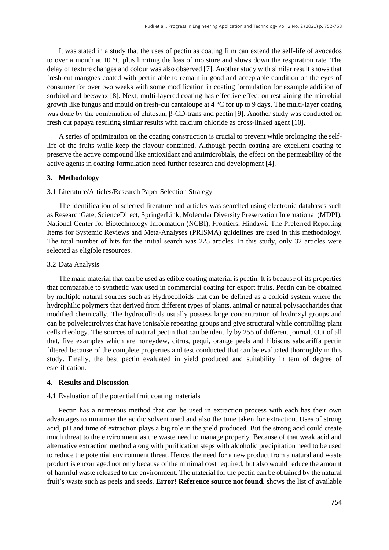It was stated in a study that the uses of pectin as coating film can extend the self-life of avocados to over a month at 10 °C plus limiting the loss of moisture and slows down the respiration rate. The delay of texture changes and colour was also observed [7]. Another study with similar result shows that fresh-cut mangoes coated with pectin able to remain in good and acceptable condition on the eyes of consumer for over two weeks with some modification in coating formulation for example addition of sorbitol and beeswax [8]. Next, multi-layered coating has effective effect on restraining the microbial growth like fungus and mould on fresh-cut cantaloupe at 4 °C for up to 9 days. The multi-layer coating was done by the combination of chitosan, β-CD-trans and pectin [9]. Another study was conducted on fresh cut papaya resulting similar results with calcium chloride as cross-linked agent [10].

A series of optimization on the coating construction is crucial to prevent while prolonging the selflife of the fruits while keep the flavour contained. Although pectin coating are excellent coating to preserve the active compound like antioxidant and antimicrobials, the effect on the permeability of the active agents in coating formulation need further research and development [4].

#### **3. Methodology**

#### 3.1 Literature/Articles/Research Paper Selection Strategy

The identification of selected literature and articles was searched using electronic databases such as ResearchGate, ScienceDirect, SpringerLink, Molecular Diversity Preservation International (MDPI), National Center for Biotechnology Information (NCBI), Frontiers, Hindawi. The Preferred Reporting Items for Systemic Reviews and Meta-Analyses (PRISMA) guidelines are used in this methodology. The total number of hits for the initial search was 225 articles. In this study, only 32 articles were selected as eligible resources.

#### 3.2 Data Analysis

The main material that can be used as edible coating material is pectin. It is because of its properties that comparable to synthetic wax used in commercial coating for export fruits. Pectin can be obtained by multiple natural sources such as Hydrocolloids that can be defined as a colloid system where the hydrophilic polymers that derived from different types of plants, animal or natural polysaccharides that modified chemically. The hydrocolloids usually possess large concentration of hydroxyl groups and can be polyelectrolytes that have ionisable repeating groups and give structural while controlling plant cells rheology. The sources of natural pectin that can be identify by 255 of different journal. Out of all that, five examples which are honeydew, citrus, pequi, orange peels and hibiscus sabdariffa pectin filtered because of the complete properties and test conducted that can be evaluated thoroughly in this study. Finally, the best pectin evaluated in yield produced and suitability in tem of degree of esterification.

#### **4. Results and Discussion**

#### 4.1 Evaluation of the potential fruit coating materials

Pectin has a numerous method that can be used in extraction process with each has their own advantages to minimise the acidic solvent used and also the time taken for extraction. Uses of strong acid, pH and time of extraction plays a big role in the yield produced. But the strong acid could create much threat to the environment as the waste need to manage properly. Because of that weak acid and alternative extraction method along with purification steps with alcoholic precipitation need to be used to reduce the potential environment threat. Hence, the need for a new product from a natural and waste product is encouraged not only because of the minimal cost required, but also would reduce the amount of harmful waste released to the environment. The material for the pectin can be obtained by the natural fruit's waste such as peels and seeds. **Error! Reference source not found.** shows the list of available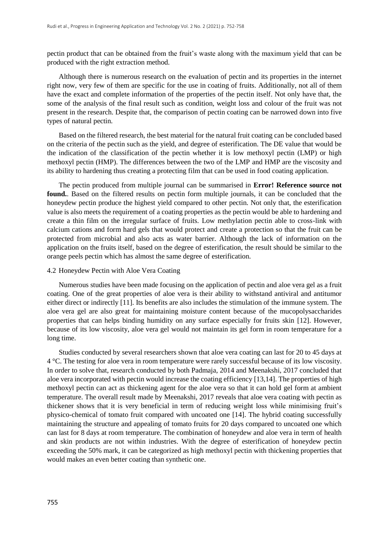pectin product that can be obtained from the fruit's waste along with the maximum yield that can be produced with the right extraction method.

Although there is numerous research on the evaluation of pectin and its properties in the internet right now, very few of them are specific for the use in coating of fruits. Additionally, not all of them have the exact and complete information of the properties of the pectin itself. Not only have that, the some of the analysis of the final result such as condition, weight loss and colour of the fruit was not present in the research. Despite that, the comparison of pectin coating can be narrowed down into five types of natural pectin.

Based on the filtered research, the best material for the natural fruit coating can be concluded based on the criteria of the pectin such as the yield, and degree of esterification. The DE value that would be the indication of the classification of the pectin whether it is low methoxyl pectin (LMP) or high methoxyl pectin (HMP). The differences between the two of the LMP and HMP are the viscosity and its ability to hardening thus creating a protecting film that can be used in food coating application.

The pectin produced from multiple journal can be summarised in **Error! Reference source not found.**. Based on the filtered results on pectin form multiple journals, it can be concluded that the honeydew pectin produce the highest yield compared to other pectin. Not only that, the esterification value is also meets the requirement of a coating properties as the pectin would be able to hardening and create a thin film on the irregular surface of fruits. Low methylation pectin able to cross-link with calcium cations and form hard gels that would protect and create a protection so that the fruit can be protected from microbial and also acts as water barrier. Although the lack of information on the application on the fruits itself, based on the degree of esterification, the result should be similar to the orange peels pectin which has almost the same degree of esterification.

#### 4.2 Honeydew Pectin with Aloe Vera Coating

Numerous studies have been made focusing on the application of pectin and aloe vera gel as a fruit coating. One of the great properties of aloe vera is their ability to withstand antiviral and antitumor either direct or indirectly [11]. Its benefits are also includes the stimulation of the immune system. The aloe vera gel are also great for maintaining moisture content because of the mucopolysaccharides properties that can helps binding humidity on any surface especially for fruits skin [12]. However, because of its low viscosity, aloe vera gel would not maintain its gel form in room temperature for a long time.

Studies conducted by several researchers shown that aloe vera coating can last for 20 to 45 days at 4 °C. The testing for aloe vera in room temperature were rarely successful because of its low viscosity. In order to solve that, research conducted by both Padmaja, 2014 and Meenakshi, 2017 concluded that aloe vera incorporated with pectin would increase the coating efficiency [13,14]. The properties of high methoxyl pectin can act as thickening agent for the aloe vera so that it can hold gel form at ambient temperature. The overall result made by Meenakshi, 2017 reveals that aloe vera coating with pectin as thickener shows that it is very beneficial in term of reducing weight loss while minimising fruit's physico-chemical of tomato fruit compared with uncoated one [14]. The hybrid coating successfully maintaining the structure and appealing of tomato fruits for 20 days compared to uncoated one which can last for 8 days at room temperature. The combination of honeydew and aloe vera in term of health and skin products are not within industries. With the degree of esterification of honeydew pectin exceeding the 50% mark, it can be categorized as high methoxyl pectin with thickening properties that would makes an even better coating than synthetic one.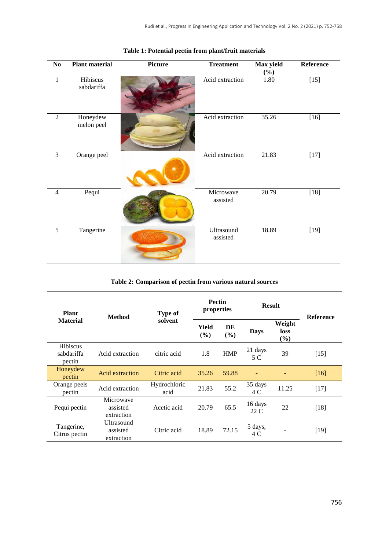| $\bf No$       | <b>Plant material</b>  | Picture | <b>Treatment</b>       | Max yield<br>$(\%)$ | Reference |
|----------------|------------------------|---------|------------------------|---------------------|-----------|
| $\mathbf{1}$   | Hibiscus<br>sabdariffa |         | Acid extraction        | 1.80                | $[15]$    |
| $\overline{2}$ | Honeydew<br>melon peel |         | Acid extraction        | 35.26               | $[16]$    |
| $\overline{3}$ | Orange peel            |         | Acid extraction        | 21.83               | $[17]$    |
| $\overline{4}$ | Pequi                  |         | Microwave<br>assisted  | 20.79               | $[18]$    |
| $\overline{5}$ | Tangerine              |         | Ultrasound<br>assisted | 18.89               | $[19]$    |

## **Table 1: Potential pectin from plant/fruit materials**

#### **Table 2: Comparison of pectin from various natural sources**

| <b>Plant</b>                            | <b>Method</b>                        | <b>Type of</b><br>solvent | <b>Pectin</b><br>properties |            | <b>Result</b>   |                       | <b>Reference</b> |
|-----------------------------------------|--------------------------------------|---------------------------|-----------------------------|------------|-----------------|-----------------------|------------------|
| <b>Material</b>                         |                                      |                           | Yield<br>$($ %)             | DE<br>(%)  | <b>Days</b>     | Weight<br>loss<br>(%) |                  |
| <b>Hibiscus</b><br>sabdariffa<br>pectin | Acid extraction                      | citric acid               | 1.8                         | <b>HMP</b> | 21 days<br>5 C  | 39                    | $[15]$           |
| Honeydew<br>pectin                      | Acid extraction                      | Citric acid               | 35.26                       | 59.88      |                 |                       | $[16]$           |
| Orange peels<br>pectin                  | Acid extraction                      | Hydrochloric<br>acid      | 21.83                       | 55.2       | 35 days<br>4 C  | 11.25                 | $[17]$           |
| Pequi pectin                            | Microwave<br>assisted<br>extraction  | Acetic acid               | 20.79                       | 65.5       | 16 days<br>22 C | 22                    | $[18]$           |
| Tangerine,<br>Citrus pectin             | Ultrasound<br>assisted<br>extraction | Citric acid               | 18.89                       | 72.15      | 5 days,<br>4 C  |                       | $[19]$           |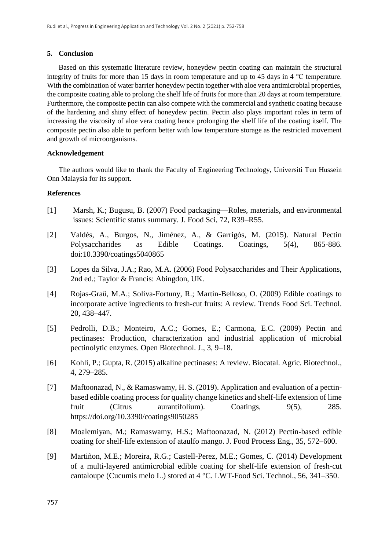#### **5. Conclusion**

Based on this systematic literature review, honeydew pectin coating can maintain the structural integrity of fruits for more than 15 days in room temperature and up to 45 days in 4 ℃ temperature. With the combination of water barrier honeydew pectin together with a loe vera antimicrobial properties, the composite coating able to prolong the shelf life of fruits for more than 20 days at room temperature. Furthermore, the composite pectin can also compete with the commercial and synthetic coating because of the hardening and shiny effect of honeydew pectin. Pectin also plays important roles in term of increasing the viscosity of aloe vera coating hence prolonging the shelf life of the coating itself. The composite pectin also able to perform better with low temperature storage as the restricted movement and growth of microorganisms.

#### **Acknowledgement**

The authors would like to thank the Faculty of Engineering Technology, Universiti Tun Hussein Onn Malaysia for its support.

#### **References**

- [1] Marsh, K.; Bugusu, B. (2007) Food packaging—Roles, materials, and environmental issues: Scientific status summary. J. Food Sci, 72, R39–R55.
- [2] Valdés, A., Burgos, N., Jiménez, A., & Garrigós, M. (2015). Natural Pectin Polysaccharides as Edible Coatings. Coatings, 5(4), 865-886. doi:10.3390/coatings5040865
- [3] Lopes da Silva, J.A.; Rao, M.A. (2006) Food Polysaccharides and Their Applications, 2nd ed.; Taylor & Francis: Abingdon, UK.
- [4] Rojas-Graü, M.A.; Soliva-Fortuny, R.; Martín-Belloso, O. (2009) Edible coatings to incorporate active ingredients to fresh-cut fruits: A review. Trends Food Sci. Technol. 20, 438–447.
- [5] Pedrolli, D.B.; Monteiro, A.C.; Gomes, E.; Carmona, E.C. (2009) Pectin and pectinases: Production, characterization and industrial application of microbial pectinolytic enzymes. Open Biotechnol. J., 3, 9–18.
- [6] Kohli, P.; Gupta, R. (2015) alkaline pectinases: A review. Biocatal. Agric. Biotechnol., 4, 279–285.
- [7] Maftoonazad, N., & Ramaswamy, H. S. (2019). Application and evaluation of a pectinbased edible coating process for quality change kinetics and shelf-life extension of lime fruit (Citrus aurantifolium). Coatings, 9(5), 285. https://doi.org/10.3390/coatings9050285
- [8] Moalemiyan, M.; Ramaswamy, H.S.; Maftoonazad, N. (2012) Pectin-based edible coating for shelf-life extension of ataulfo mango. J. Food Process Eng., 35, 572–600.
- [9] Martiñon, M.E.; Moreira, R.G.; Castell-Perez, M.E.; Gomes, C. (2014) Development of a multi-layered antimicrobial edible coating for shelf-life extension of fresh-cut cantaloupe (Cucumis melo L.) stored at 4 °C. LWT-Food Sci. Technol., 56, 341–350.